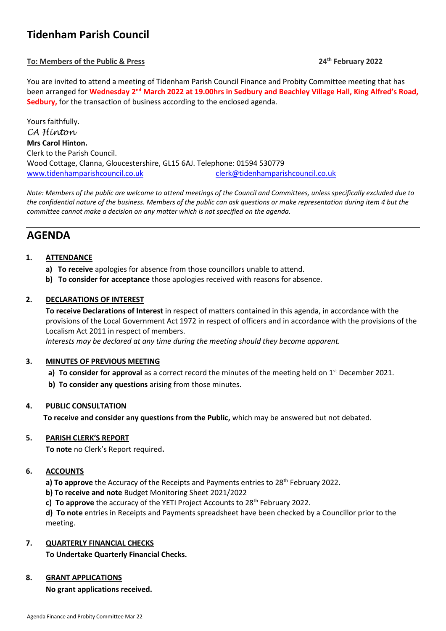# **Tidenham Parish Council**

## **To: Members of the Public & Press 24**

**th February 2022**

You are invited to attend a meeting of Tidenham Parish Council Finance and Probity Committee meeting that has been arranged for Wednesday 2<sup>nd</sup> March 2022 at 19.00hrs in Sedbury and Beachley Village Hall, King Alfred's Road, **Sedbury,** for the transaction of business according to the enclosed agenda.

Yours faithfully. *CA Hinton* **Mrs Carol Hinton.** Clerk to the Parish Council. Wood Cottage, Clanna, Gloucestershire, GL15 6AJ. Telephone: 01594 530779 [www.tidenhamparishcouncil.co.uk](http://www.tidenhamparishcouncil.co.uk/) [clerk@tidenhamparishcouncil.co.uk](mailto:clerk@tidenhamparishcouncil.co.uk)

*Note: Members of the public are welcome to attend meetings of the Council and Committees, unless specifically excluded due to the confidential nature of the business. Members of the public can ask questions or make representation during item 4 but the committee cannot make a decision on any matter which is not specified on the agenda.*

## **AGENDA**

## **1. ATTENDANCE**

- **a) To receive** apologies for absence from those councillors unable to attend.
- **b) To consider for acceptance** those apologies received with reasons for absence.

## **2. DECLARATIONS OF INTEREST**

**To receive Declarations of Interest** in respect of matters contained in this agenda, in accordance with the provisions of the Local Government Act 1972 in respect of officers and in accordance with the provisions of the Localism Act 2011 in respect of members.

 *Interests may be declared at any time during the meeting should they become apparent.*

#### **3. MINUTES OF PREVIOUS MEETING**

- a) **To consider for approval** as a correct record the minutes of the meeting held on 1<sup>st</sup> December 2021.
- **b) To consider any questions** arising from those minutes.

#### **4. PUBLIC CONSULTATION**

**To receive and consider any questions from the Public,** which may be answered but not debated.

#### **5. PARISH CLERK'S REPORT**

**To note** no Clerk's Report required**.**

#### **6. ACCOUNTS**

a) To approve the Accuracy of the Receipts and Payments entries to 28<sup>th</sup> February 2022.

**b) To receive and note** Budget Monitoring Sheet 2021/2022

**c) To approve** the accuracy of the YETI Project Accounts to 28<sup>th</sup> February 2022.

**d) To note** entries in Receipts and Payments spreadsheet have been checked by a Councillor prior to the meeting.

## **7. QUARTERLY FINANCIAL CHECKS**

**To Undertake Quarterly Financial Checks.**

#### **8. GRANT APPLICATIONS**

**No grant applications received.**